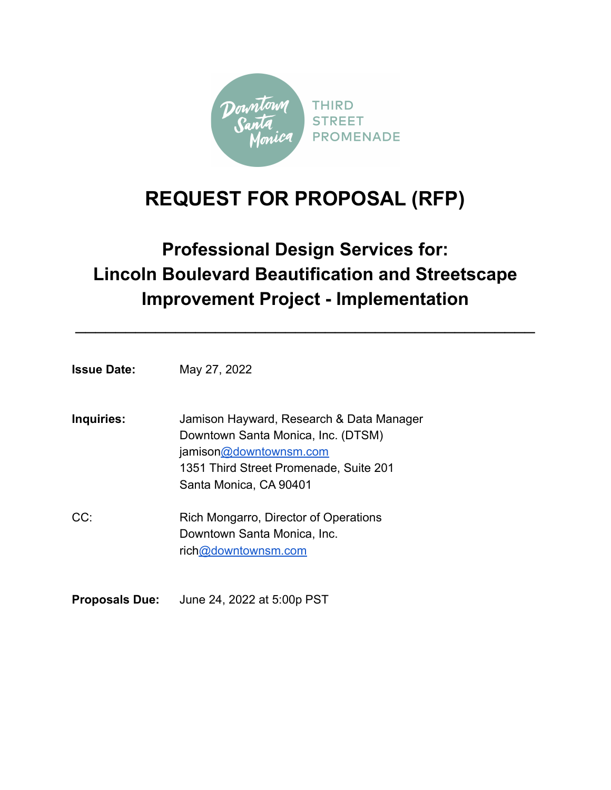

# **REQUEST FOR PROPOSAL (RFP)**

# **Professional Design Services for: Lincoln Boulevard Beautification and Streetscape Improvement Project - Implementation**

 $\mathcal{L}_\text{max}$  and  $\mathcal{L}_\text{max}$  and  $\mathcal{L}_\text{max}$  and  $\mathcal{L}_\text{max}$  and  $\mathcal{L}_\text{max}$ 

**Issue Date:** May 27, 2022

| Inquiries: | Jamison Hayward, Research & Data Manager |
|------------|------------------------------------------|
|            | Downtown Santa Monica, Inc. (DTSM)       |
|            | jamison@downtownsm.com                   |
|            | 1351 Third Street Promenade, Suite 201   |
|            | Santa Monica, CA 90401                   |
|            |                                          |

CC: Rich Mongarro, Director of Operations Downtown Santa Monica, Inc. ric[h@downtownsm.com](mailto:nick@downtownsm.com)

**Proposals Due:** June 24, 2022 at 5:00p PST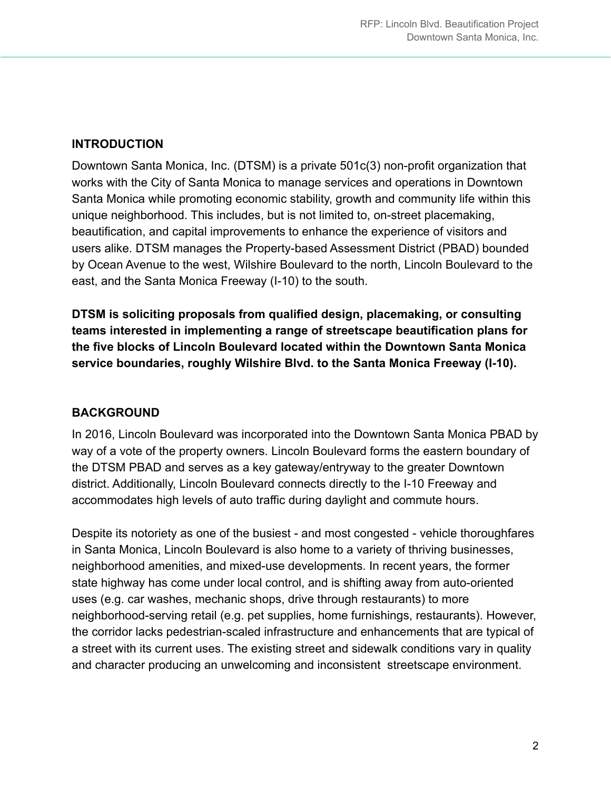## **INTRODUCTION**

Downtown Santa Monica, Inc. (DTSM) is a private 501c(3) non-profit organization that works with the City of Santa Monica to manage services and operations in Downtown Santa Monica while promoting economic stability, growth and community life within this unique neighborhood. This includes, but is not limited to, on-street placemaking, beautification, and capital improvements to enhance the experience of visitors and users alike. DTSM manages the Property-based Assessment District (PBAD) bounded by Ocean Avenue to the west, Wilshire Boulevard to the north, Lincoln Boulevard to the east, and the Santa Monica Freeway (I-10) to the south.

 $\_$  , and the set of the set of the set of the set of the set of the set of the set of the set of the set of the set of the set of the set of the set of the set of the set of the set of the set of the set of the set of th

**DTSM is soliciting proposals from qualified design, placemaking, or consulting teams interested in implementing a range of streetscape beautification plans for the five blocks of Lincoln Boulevard located within the Downtown Santa Monica service boundaries, roughly Wilshire Blvd. to the Santa Monica Freeway (I-10).**

## **BACKGROUND**

In 2016, Lincoln Boulevard was incorporated into the Downtown Santa Monica PBAD by way of a vote of the property owners. Lincoln Boulevard forms the eastern boundary of the DTSM PBAD and serves as a key gateway/entryway to the greater Downtown district. Additionally, Lincoln Boulevard connects directly to the I-10 Freeway and accommodates high levels of auto traffic during daylight and commute hours.

Despite its notoriety as one of the busiest - and most congested - vehicle thoroughfares in Santa Monica, Lincoln Boulevard is also home to a variety of thriving businesses, neighborhood amenities, and mixed-use developments. In recent years, the former state highway has come under local control, and is shifting away from auto-oriented uses (e.g. car washes, mechanic shops, drive through restaurants) to more neighborhood-serving retail (e.g. pet supplies, home furnishings, restaurants). However, the corridor lacks pedestrian-scaled infrastructure and enhancements that are typical of a street with its current uses. The existing street and sidewalk conditions vary in quality and character producing an unwelcoming and inconsistent streetscape environment.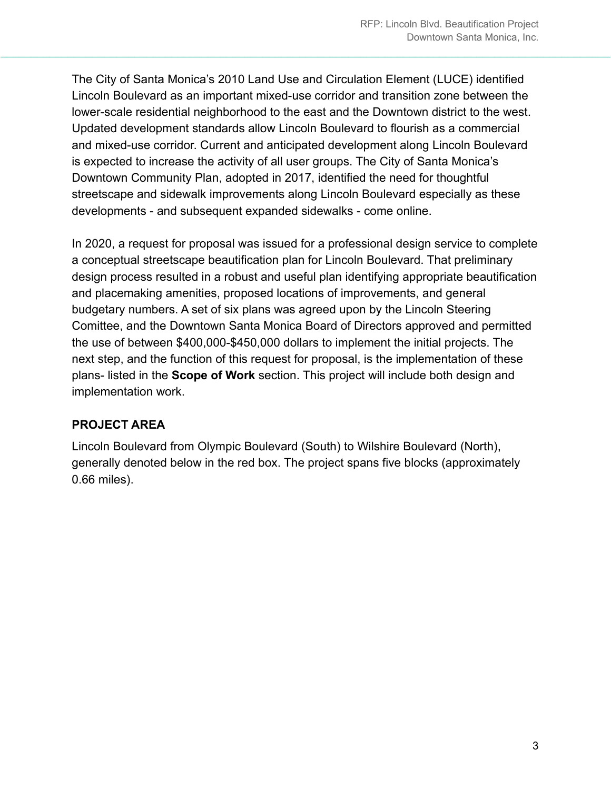The City of Santa Monica's 2010 Land Use and Circulation Element (LUCE) identified Lincoln Boulevard as an important mixed-use corridor and transition zone between the lower-scale residential neighborhood to the east and the Downtown district to the west. Updated development standards allow Lincoln Boulevard to flourish as a commercial and mixed-use corridor. Current and anticipated development along Lincoln Boulevard is expected to increase the activity of all user groups. The City of Santa Monica's Downtown Community Plan, adopted in 2017, identified the need for thoughtful streetscape and sidewalk improvements along Lincoln Boulevard especially as these developments - and subsequent expanded sidewalks - come online.

 $\_$  , and the set of the set of the set of the set of the set of the set of the set of the set of the set of the set of the set of the set of the set of the set of the set of the set of the set of the set of the set of th

In 2020, a request for proposal was issued for a professional design service to complete a conceptual streetscape beautification plan for Lincoln Boulevard. That preliminary design process resulted in a robust and useful plan identifying appropriate beautification and placemaking amenities, proposed locations of improvements, and general budgetary numbers. A set of six plans was agreed upon by the Lincoln Steering Comittee, and the Downtown Santa Monica Board of Directors approved and permitted the use of between \$400,000-\$450,000 dollars to implement the initial projects. The next step, and the function of this request for proposal, is the implementation of these plans- listed in the **Scope of Work** section. This project will include both design and implementation work.

## **PROJECT AREA**

Lincoln Boulevard from Olympic Boulevard (South) to Wilshire Boulevard (North), generally denoted below in the red box. The project spans five blocks (approximately 0.66 miles).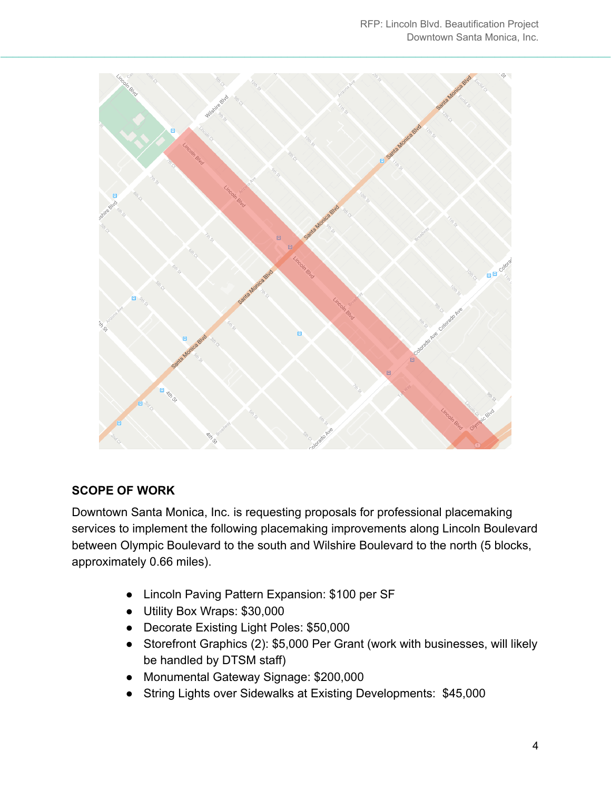

## **SCOPE OF WORK**

Downtown Santa Monica, Inc. is requesting proposals for professional placemaking services to implement the following placemaking improvements along Lincoln Boulevard between Olympic Boulevard to the south and Wilshire Boulevard to the north (5 blocks, approximately 0.66 miles).

- Lincoln Paving Pattern Expansion: \$100 per SF
- Utility Box Wraps: \$30,000
- Decorate Existing Light Poles: \$50,000
- Storefront Graphics (2): \$5,000 Per Grant (work with businesses, will likely be handled by DTSM staff)
- Monumental Gateway Signage: \$200,000
- String Lights over Sidewalks at Existing Developments: \$45,000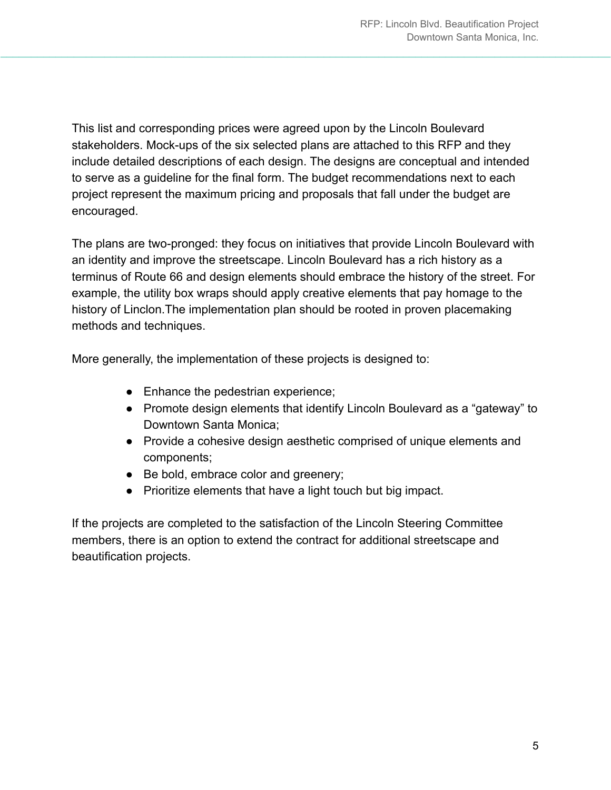This list and corresponding prices were agreed upon by the Lincoln Boulevard stakeholders. Mock-ups of the six selected plans are attached to this RFP and they include detailed descriptions of each design. The designs are conceptual and intended to serve as a guideline for the final form. The budget recommendations next to each project represent the maximum pricing and proposals that fall under the budget are encouraged.

 $\_$  , and the set of the set of the set of the set of the set of the set of the set of the set of the set of the set of the set of the set of the set of the set of the set of the set of the set of the set of the set of th

The plans are two-pronged: they focus on initiatives that provide Lincoln Boulevard with an identity and improve the streetscape. Lincoln Boulevard has a rich history as a terminus of Route 66 and design elements should embrace the history of the street. For example, the utility box wraps should apply creative elements that pay homage to the history of Linclon.The implementation plan should be rooted in proven placemaking methods and techniques.

More generally, the implementation of these projects is designed to:

- Enhance the pedestrian experience;
- Promote design elements that identify Lincoln Boulevard as a "gateway" to Downtown Santa Monica;
- Provide a cohesive design aesthetic comprised of unique elements and components;
- Be bold, embrace color and greenery;
- Prioritize elements that have a light touch but big impact.

If the projects are completed to the satisfaction of the Lincoln Steering Committee members, there is an option to extend the contract for additional streetscape and beautification projects.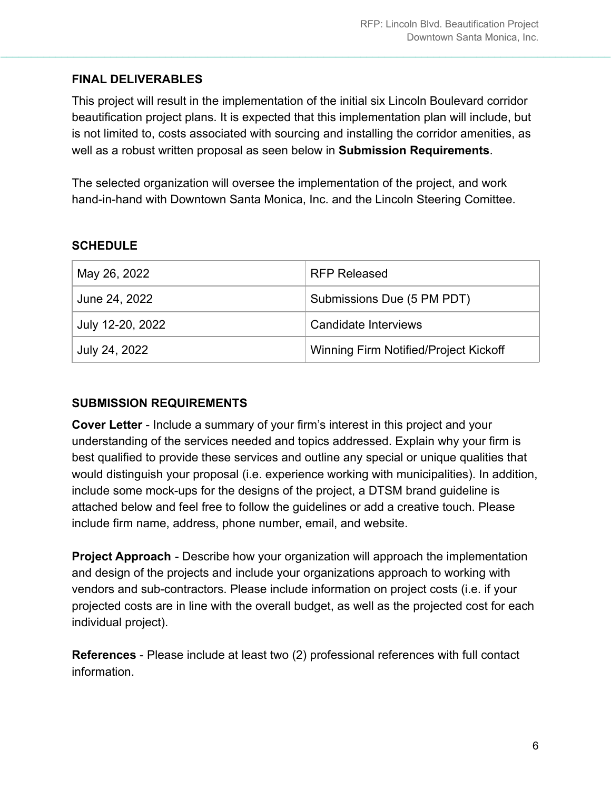#### **FINAL DELIVERABLES**

This project will result in the implementation of the initial six Lincoln Boulevard corridor beautification project plans. It is expected that this implementation plan will include, but is not limited to, costs associated with sourcing and installing the corridor amenities, as well as a robust written proposal as seen below in **Submission Requirements**.

 $\_$  , and the set of the set of the set of the set of the set of the set of the set of the set of the set of the set of the set of the set of the set of the set of the set of the set of the set of the set of the set of th

The selected organization will oversee the implementation of the project, and work hand-in-hand with Downtown Santa Monica, Inc. and the Lincoln Steering Comittee.

#### **SCHEDULE**

| May 26, 2022     | <b>RFP Released</b>                   |
|------------------|---------------------------------------|
| June 24, 2022    | Submissions Due (5 PM PDT)            |
| July 12-20, 2022 | Candidate Interviews                  |
| July 24, 2022    | Winning Firm Notified/Project Kickoff |

#### **SUBMISSION REQUIREMENTS**

**Cover Letter** - Include a summary of your firm's interest in this project and your understanding of the services needed and topics addressed. Explain why your firm is best qualified to provide these services and outline any special or unique qualities that would distinguish your proposal (i.e. experience working with municipalities). In addition, include some mock-ups for the designs of the project, a DTSM brand guideline is attached below and feel free to follow the guidelines or add a creative touch. Please include firm name, address, phone number, email, and website.

**Project Approach** - Describe how your organization will approach the implementation and design of the projects and include your organizations approach to working with vendors and sub-contractors. Please include information on project costs (i.e. if your projected costs are in line with the overall budget, as well as the projected cost for each individual project).

**References** - Please include at least two (2) professional references with full contact information.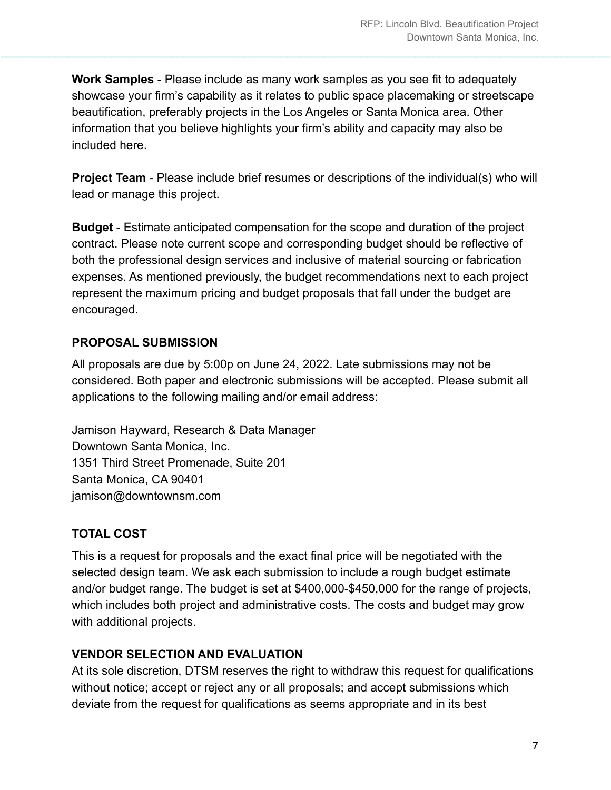**Work Samples** - Please include as many work samples as you see fit to adequately showcase your firm's capability as it relates to public space placemaking or streetscape beautification, preferably projects in the Los Angeles or Santa Monica area. Other information that you believe highlights your firm's ability and capacity may also be included here.

 $\_$  , and the set of the set of the set of the set of the set of the set of the set of the set of the set of the set of the set of the set of the set of the set of the set of the set of the set of the set of the set of th

**Project Team** - Please include brief resumes or descriptions of the individual(s) who will lead or manage this project.

**Budget** - Estimate anticipated compensation for the scope and duration of the project contract. Please note current scope and corresponding budget should be reflective of both the professional design services and inclusive of material sourcing or fabrication expenses. As mentioned previously, the budget recommendations next to each project represent the maximum pricing and budget proposals that fall under the budget are encouraged.

## **PROPOSAL SUBMISSION**

All proposals are due by 5:00p on June 24, 2022. Late submissions may not be considered. Both paper and electronic submissions will be accepted. Please submit all applications to the following mailing and/or email address:

Jamison Hayward, Research & Data Manager Downtown Santa Monica, Inc. 1351 Third Street Promenade, Suite 201 Santa Monica, CA 90401 jamison@downtownsm.com

## **TOTAL COST**

This is a request for proposals and the exact final price will be negotiated with the selected design team. We ask each submission to include a rough budget estimate and/or budget range. The budget is set at \$400,000-\$450,000 for the range of projects, which includes both project and administrative costs. The costs and budget may grow with additional projects.

## **VENDOR SELECTION AND EVALUATION**

At its sole discretion, DTSM reserves the right to withdraw this request for qualifications without notice; accept or reject any or all proposals; and accept submissions which deviate from the request for qualifications as seems appropriate and in its best